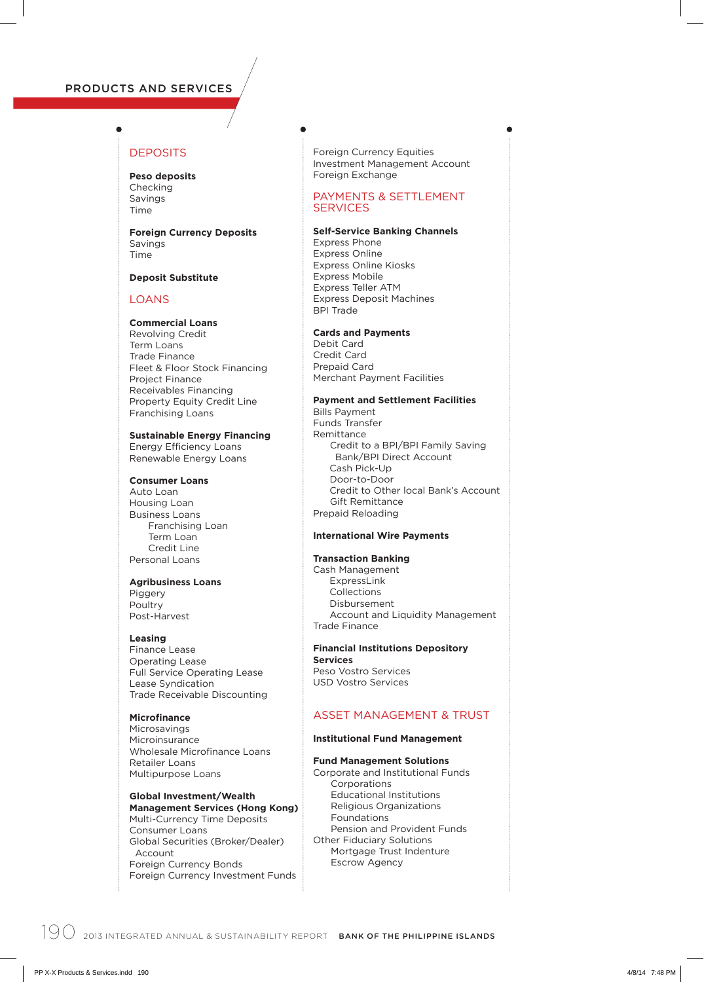# PRODUCTS AND SERVICES

# **DEPOSITS**

#### **Peso deposits** Checking Savings Time

**Foreign Currency Deposits** Savings Time

#### **Deposit Substitute**

#### LOANS

# **Commercial Loans**

Revolving Credit Term Loans Trade Finance Fleet & Floor Stock Financing Project Finance Receivables Financing Property Equity Credit Line Franchising Loans

## **Sustainable Energy Financing**

Energy Efficiency Loans Renewable Energy Loans

# **Consumer Loans**

Auto Loan Housing Loan Business Loans Franchising Loan Term Loan Credit Line Personal Loans

#### **Agribusiness Loans**

Piggery Poultry Post-Harvest

#### **Leasing**

Finance Lease Operating Lease Full Service Operating Lease Lease Syndication Trade Receivable Discounting

# **Microfinance**

Microsavings Microinsurance Wholesale Microfinance Loans Retailer Loans Multipurpose Loans

# **Global Investment/Wealth Management Services (Hong Kong)**

Multi-Currency Time Deposits Consumer Loans Global Securities (Broker/Dealer) Account Foreign Currency Bonds Foreign Currency Investment Funds

Foreign Currency Equities Investment Management Account Foreign Exchange

# PAYMENTS & SETTLEMENT SERVICES

**Self-Service Banking Channels** Express Phone Express Online Express Online Kiosks Express Mobile Express Teller ATM Express Deposit Machines BPI Trade

# **Cards and Payments**

Debit Card Credit Card Prepaid Card Merchant Payment Facilities

# **Payment and Settlement Facilities**

Bills Payment Funds Transfer Remittance Credit to a BPI/BPI Family Saving Bank/BPI Direct Account Cash Pick-Up Door-to-Door Credit to Other local Bank's Account Gift Remittance Prepaid Reloading

# **International Wire Payments**

### **Transaction Banking**

Cash Management ExpressLink Collections Disbursement Account and Liquidity Management Trade Finance

# **Financial Institutions Depository**

**Services** Peso Vostro Services USD Vostro Services

# ASSET MANAGEMENT & TRUST

#### **Institutional Fund Management**

# **Fund Management Solutions**

Corporate and Institutional Funds Corporations Educational Institutions Religious Organizations Foundations Pension and Provident Funds Other Fiduciary Solutions Mortgage Trust Indenture Escrow Agency